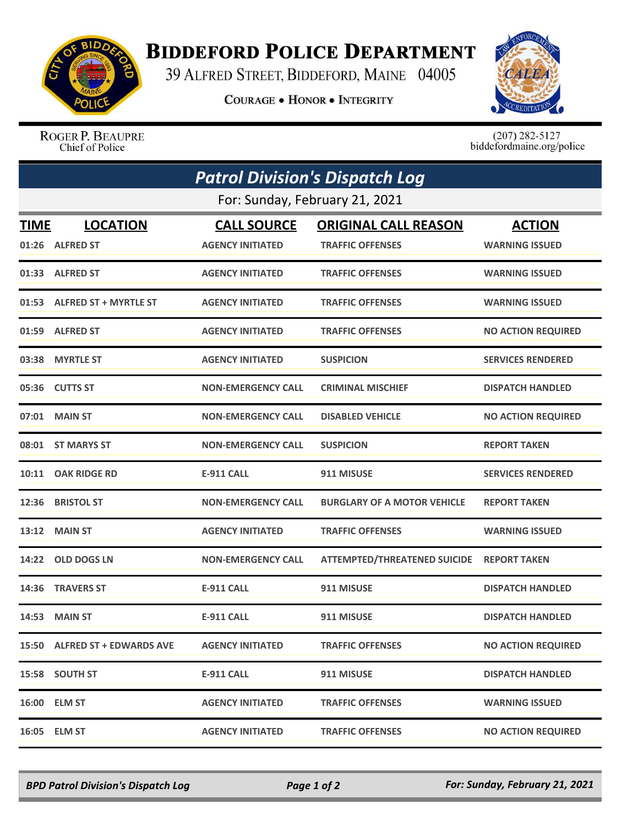

## **BIDDEFORD POLICE DEPARTMENT**

39 ALFRED STREET, BIDDEFORD, MAINE 04005

**COURAGE . HONOR . INTEGRITY** 



ROGER P. BEAUPRE Chief of Police

 $(207)$  282-5127<br>biddefordmaine.org/police

| <b>Patrol Division's Dispatch Log</b> |                               |                           |                                     |                           |  |  |
|---------------------------------------|-------------------------------|---------------------------|-------------------------------------|---------------------------|--|--|
| For: Sunday, February 21, 2021        |                               |                           |                                     |                           |  |  |
| <b>TIME</b>                           | <b>LOCATION</b>               | <b>CALL SOURCE</b>        | <b>ORIGINAL CALL REASON</b>         | <b>ACTION</b>             |  |  |
|                                       | 01:26 ALFRED ST               | <b>AGENCY INITIATED</b>   | <b>TRAFFIC OFFENSES</b>             | <b>WARNING ISSUED</b>     |  |  |
|                                       | 01:33 ALFRED ST               | <b>AGENCY INITIATED</b>   | <b>TRAFFIC OFFENSES</b>             | <b>WARNING ISSUED</b>     |  |  |
| 01:53                                 | <b>ALFRED ST + MYRTLE ST</b>  | <b>AGENCY INITIATED</b>   | <b>TRAFFIC OFFENSES</b>             | <b>WARNING ISSUED</b>     |  |  |
|                                       | 01:59 ALFRED ST               | <b>AGENCY INITIATED</b>   | <b>TRAFFIC OFFENSES</b>             | <b>NO ACTION REQUIRED</b> |  |  |
|                                       | 03:38 MYRTLE ST               | <b>AGENCY INITIATED</b>   | <b>SUSPICION</b>                    | <b>SERVICES RENDERED</b>  |  |  |
|                                       | 05:36 CUTTS ST                | <b>NON-EMERGENCY CALL</b> | <b>CRIMINAL MISCHIEF</b>            | <b>DISPATCH HANDLED</b>   |  |  |
| 07:01                                 | <b>MAIN ST</b>                | <b>NON-EMERGENCY CALL</b> | <b>DISABLED VEHICLE</b>             | <b>NO ACTION REQUIRED</b> |  |  |
|                                       | 08:01 ST MARYS ST             | <b>NON-EMERGENCY CALL</b> | <b>SUSPICION</b>                    | <b>REPORT TAKEN</b>       |  |  |
|                                       | 10:11 OAK RIDGE RD            | <b>E-911 CALL</b>         | 911 MISUSE                          | <b>SERVICES RENDERED</b>  |  |  |
| 12:36                                 | <b>BRISTOL ST</b>             | <b>NON-EMERGENCY CALL</b> | <b>BURGLARY OF A MOTOR VEHICLE</b>  | <b>REPORT TAKEN</b>       |  |  |
|                                       | 13:12 MAIN ST                 | <b>AGENCY INITIATED</b>   | <b>TRAFFIC OFFENSES</b>             | <b>WARNING ISSUED</b>     |  |  |
| 14:22                                 | <b>OLD DOGS LN</b>            | <b>NON-EMERGENCY CALL</b> | <b>ATTEMPTED/THREATENED SUICIDE</b> | <b>REPORT TAKEN</b>       |  |  |
| 14:36                                 | <b>TRAVERS ST</b>             | <b>E-911 CALL</b>         | 911 MISUSE                          | <b>DISPATCH HANDLED</b>   |  |  |
| 14:53                                 | <b>MAIN ST</b>                | <b>E-911 CALL</b>         | 911 MISUSE                          | <b>DISPATCH HANDLED</b>   |  |  |
|                                       | 15:50 ALFRED ST + EDWARDS AVE | <b>AGENCY INITIATED</b>   | <b>TRAFFIC OFFENSES</b>             | <b>NO ACTION REQUIRED</b> |  |  |
|                                       | 15:58 SOUTH ST                | <b>E-911 CALL</b>         | 911 MISUSE                          | <b>DISPATCH HANDLED</b>   |  |  |
|                                       | 16:00 ELM ST                  | <b>AGENCY INITIATED</b>   | <b>TRAFFIC OFFENSES</b>             | <b>WARNING ISSUED</b>     |  |  |
|                                       | 16:05 ELM ST                  | <b>AGENCY INITIATED</b>   | <b>TRAFFIC OFFENSES</b>             | <b>NO ACTION REQUIRED</b> |  |  |